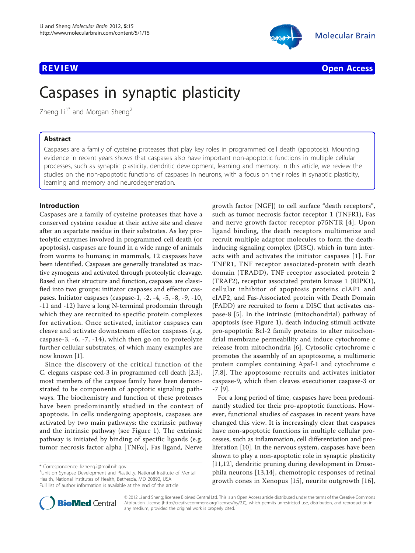

**REVIEW CONTROL** CONTROL CONTROL CONTROL CONTROL CONTROL CONTROL CONTROL CONTROL CONTROL CONTROL CONTROL CONTROL CONTROL CONTROL CONTROL CONTROL CONTROL CONTROL CONTROL CONTROL CONTROL CONTROL CONTROL CONTROL CONTROL CONTR

# Caspases in synaptic plasticity

Zheng  $Li<sup>1*</sup>$  and Morgan Sheng<sup>2</sup>

# Abstract

Caspases are a family of cysteine proteases that play key roles in programmed cell death (apoptosis). Mounting evidence in recent years shows that caspases also have important non-apoptotic functions in multiple cellular processes, such as synaptic plasticity, dendritic development, learning and memory. In this article, we review the studies on the non-apoptotic functions of caspases in neurons, with a focus on their roles in synaptic plasticity, learning and memory and neurodegeneration.

# Introduction

Caspases are a family of cysteine proteases that have a conserved cysteine residue at their active site and cleave after an aspartate residue in their substrates. As key proteolytic enzymes involved in programmed cell death (or apoptosis), caspases are found in a wide range of animals from worms to humans; in mammals, 12 caspases have been identified. Caspases are generally translated as inactive zymogens and activated through proteolytic cleavage. Based on their structure and function, caspases are classified into two groups: initiator caspases and effector caspases. Initiator caspases (caspase-1, -2, -4, -5, -8, -9, -10, -11 and -12) have a long N-terminal prodomain through which they are recruited to specific protein complexes for activation. Once activated, initiator caspases can cleave and activate downstream effector caspases (e.g. caspase-3, -6, -7, -14), which then go on to proteolyze further cellular substrates, of which many examples are now known [\[1](#page-4-0)].

Since the discovery of the critical function of the C. elegans caspase ced-3 in programmed cell death [\[2,3](#page-4-0)], most members of the caspase family have been demonstrated to be components of apoptotic signaling pathways. The biochemistry and function of these proteases have been predominantly studied in the context of apoptosis. In cells undergoing apoptosis, caspases are activated by two main pathways: the extrinsic pathway and the intrinsic pathway (see Figure [1\)](#page-1-0). The extrinsic pathway is initiated by binding of specific ligands (e.g. tumor necrosis factor alpha [TNF $\alpha$ ], Fas ligand, Nerve

<sup>1</sup>Unit on Synapse Development and Plasticity, National Institute of Mental Health, National Institutes of Health, Bethesda, MD 20892, USA Full list of author information is available at the end of the article

growth factor [NGF]) to cell surface "death receptors", such as tumor necrosis factor receptor 1 (TNFR1), Fas and nerve growth factor receptor p75NTR [[4](#page-4-0)]. Upon ligand binding, the death receptors multimerize and recruit multiple adaptor molecules to form the deathinducing signaling complex (DISC), which in turn interacts with and activates the initiator caspases [[1](#page-4-0)]. For TNFR1, TNF receptor associated-protein with death domain (TRADD), TNF receptor associated protein 2 (TRAF2), receptor associated protein kinase 1 (RIPK1), cellular inhibitor of apoptosis proteins cIAP1 and cIAP2, and Fas-Associated protein with Death Domain (FADD) are recruited to form a DISC that activates caspase-8 [[5](#page-4-0)]. In the intrinsic (mitochondrial) pathway of apoptosis (see Figure [1\)](#page-1-0), death inducing stimuli activate pro-apoptotic Bcl-2 family proteins to alter mitochondrial membrane permeability and induce cytochrome c release from mitochondria [\[6](#page-4-0)]. Cytosolic cytochrome c promotes the assembly of an apoptosome, a multimeric protein complex containing Apaf-1 and cytochrome c [[7](#page-4-0),[8\]](#page-4-0). The apoptosome recruits and activates initiator caspase-9, which then cleaves executioner caspase-3 or -7 [[9](#page-4-0)].

For a long period of time, caspases have been predominantly studied for their pro-apoptotic functions. However, functional studies of caspases in recent years have changed this view. It is increasingly clear that caspases have non-apoptotic functions in multiple cellular processes, such as inflammation, cell differentiation and proliferation [[10](#page-4-0)]. In the nervous system, caspases have been shown to play a non-apoptotic role in synaptic plasticity [[11,12\]](#page-4-0), dendritic pruning during development in Drosophila neurons [[13,14\]](#page-4-0), chemotropic responses of retinal growth cones in Xenopus [[15](#page-4-0)], neurite outgrowth [[16](#page-4-0)],



© 2012 Li and Sheng; licensee BioMed Central Ltd. This is an Open Access article distributed under the terms of the Creative Commons Attribution License [\(http://creativecommons.org/licenses/by/2.0](http://creativecommons.org/licenses/by/2.0)), which permits unrestricted use, distribution, and reproduction in any medium, provided the original work is properly cited.

<sup>\*</sup> Correspondence: [lizheng2@mail.nih.gov](mailto:lizheng2@mail.nih.gov)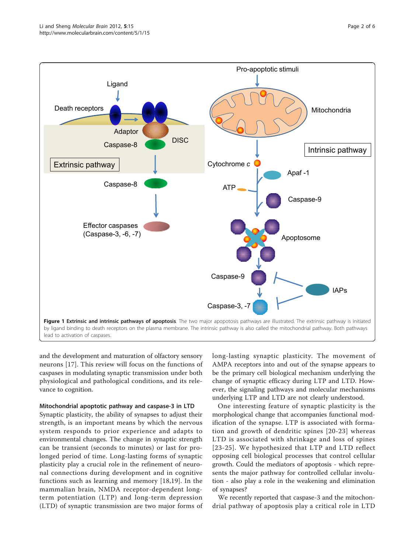<span id="page-1-0"></span>

and the development and maturation of olfactory sensory neurons [[17](#page-4-0)]. This review will focus on the functions of caspases in modulating synaptic transmission under both physiological and pathological conditions, and its relevance to cognition.

# Mitochondrial apoptotic pathway and caspase-3 in LTD

Synaptic plasticity, the ability of synapses to adjust their strength, is an important means by which the nervous system responds to prior experience and adapts to environmental changes. The change in synaptic strength can be transient (seconds to minutes) or last for prolonged period of time. Long-lasting forms of synaptic plasticity play a crucial role in the refinement of neuronal connections during development and in cognitive functions such as learning and memory [\[18](#page-4-0),[19\]](#page-4-0). In the mammalian brain, NMDA receptor-dependent longterm potentiation (LTP) and long-term depression (LTD) of synaptic transmission are two major forms of long-lasting synaptic plasticity. The movement of AMPA receptors into and out of the synapse appears to be the primary cell biological mechanism underlying the change of synaptic efficacy during LTP and LTD. However, the signaling pathways and molecular mechanisms underlying LTP and LTD are not clearly understood.

One interesting feature of synaptic plasticity is the morphological change that accompanies functional modification of the synapse. LTP is associated with formation and growth of dendritic spines [[20-23](#page-4-0)] whereas LTD is associated with shrinkage and loss of spines [[23-](#page-4-0)[25](#page-5-0)]. We hypothesized that LTP and LTD reflect opposing cell biological processes that control cellular growth. Could the mediators of apoptosis - which represents the major pathway for controlled cellular involution - also play a role in the weakening and elimination of synapses?

We recently reported that caspase-3 and the mitochondrial pathway of apoptosis play a critical role in LTD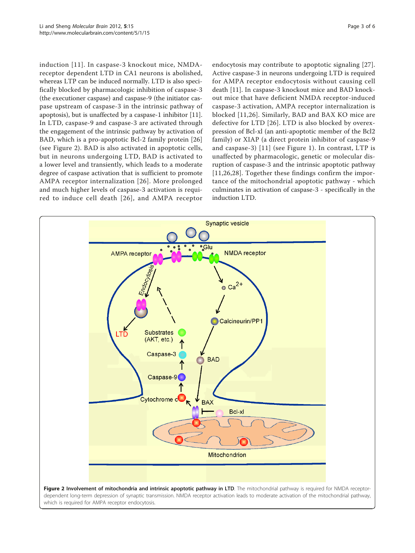induction [[11\]](#page-4-0). In caspase-3 knockout mice, NMDAreceptor dependent LTD in CA1 neurons is abolished, whereas LTP can be induced normally. LTD is also specifically blocked by pharmacologic inhibition of caspase-3 (the executioner caspase) and caspase-9 (the initiator caspase upstream of caspase-3 in the intrinsic pathway of apoptosis), but is unaffected by a caspase-1 inhibitor [\[11](#page-4-0)]. In LTD, caspase-9 and caspase-3 are activated through the engagement of the intrinsic pathway by activation of BAD, which is a pro-apoptotic Bcl-2 family protein [\[26](#page-5-0)] (see Figure 2). BAD is also activated in apoptotic cells, but in neurons undergoing LTD, BAD is activated to a lower level and transiently, which leads to a moderate degree of caspase activation that is sufficient to promote AMPA receptor internalization [[26\]](#page-5-0). More prolonged and much higher levels of caspase-3 activation is required to induce cell death [[26](#page-5-0)], and AMPA receptor

endocytosis may contribute to apoptotic signaling [[27](#page-5-0)]. Active caspase-3 in neurons undergoing LTD is required for AMPA receptor endocytosis without causing cell death [\[11](#page-4-0)]. In caspase-3 knockout mice and BAD knockout mice that have deficient NMDA receptor-induced caspase-3 activation, AMPA receptor internalization is blocked [\[11,](#page-4-0)[26](#page-5-0)]. Similarly, BAD and BAX KO mice are defective for LTD [[26](#page-5-0)]. LTD is also blocked by overexpression of Bcl-xl (an anti-apoptotic member of the Bcl2 family) or XIAP (a direct protein inhibitor of caspase-9 and caspase-3) [[11\]](#page-4-0) (see Figure [1](#page-1-0)). In contrast, LTP is unaffected by pharmacologic, genetic or molecular disruption of caspase-3 and the intrinsic apoptotic pathway [[11](#page-4-0),[26,28](#page-5-0)]. Together these findings confirm the importance of the mitochondrial apoptotic pathway - which culminates in activation of caspase-3 - specifically in the induction LTD.

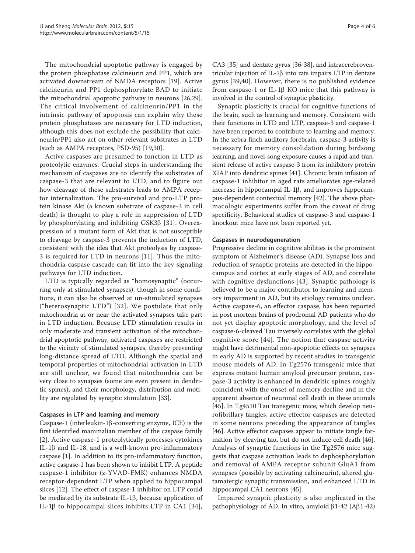The mitochondrial apoptotic pathway is engaged by the protein phosphatase calcineurin and PP1, which are activated downstream of NMDA receptors [[19\]](#page-4-0). Active calcineurin and PP1 dephosphorylate BAD to initiate the mitochondrial apoptotic pathway in neurons [\[26,29](#page-5-0)]. The critical involvement of calcineurin/PP1 in the intrinsic pathway of apoptosis can explain why these protein phosphatases are necessary for LTD induction, although this does not exclude the possibility that calcineurin/PP1 also act on other relevant substrates in LTD (such as AMPA receptors, PSD-95) [\[19](#page-4-0)[,30\]](#page-5-0).

Active caspases are presumed to function in LTD as proteolytic enzymes. Crucial steps in understanding the mechanism of caspases are to identify the substrates of caspase-3 that are relevant to LTD, and to figure out how cleavage of these substrates leads to AMPA receptor internalization. The pro-survival and pro-LTP protein kinase Akt (a known substrate of caspase-3 in cell death) is thought to play a role in suppression of LTD by phosphorylating and inhibiting GSK3 $\beta$  [\[31](#page-5-0)]. Overexpression of a mutant form of Akt that is not susceptible to cleavage by caspase-3 prevents the induction of LTD, consistent with the idea that Akt proteolysis by caspase-3 is required for LTD in neurons [[11](#page-4-0)]. Thus the mitochondria-caspase cascade can fit into the key signaling pathways for LTD induction.

LTD is typically regarded as "homosynaptic" (occurring only at stimulated synapses), though in some conditions, it can also be observed at un-stimulated synapses ("heterosynaptic LTD") [[32](#page-5-0)]. We postulate that only mitochondria at or near the activated synapses take part in LTD induction. Because LTD stimulation results in only moderate and transient activation of the mitochondrial apoptotic pathway, activated caspases are restricted to the vicinity of stimulated synapses, thereby preventing long-distance spread of LTD. Although the spatial and temporal properties of mitochondrial activation in LTD are still unclear, we found that mitochondria can be very close to synapses (some are even present in dendritic spines), and their morphology, distribution and motility are regulated by synaptic stimulation [[33](#page-5-0)].

# Caspases in LTP and learning and memory

Caspase-1 (interleukin-1 $\beta$ -converting enzyme, ICE) is the first identified mammalian member of the caspase family [[2](#page-4-0)]. Active caspase-1 proteolytically processes cytokines IL-1 $\beta$  and IL-18, and is a well-known pro-inflammatory caspase [\[1](#page-4-0)]. In addition to its pro-inflammatory function, active caspase-1 has been shown to inhibit LTP. A peptide caspase-1 inhibitor (z-YVAD-FMK) enhances NMDA receptor-dependent LTP when applied to hippocampal slices [[12](#page-4-0)]. The effect of caspase-1 inhibitor on LTP could be mediated by its substrate IL-1 $\beta$ , because application of IL-1 $\beta$  to hippocampal slices inhibits LTP in CA1 [[34\]](#page-5-0),

CA3 [\[35\]](#page-5-0) and dentate gyrus [[36](#page-5-0)-[38\]](#page-5-0), and intracerebroventricular injection of IL-1 $\beta$  into rats impairs LTP in dentate gyrus [[39](#page-5-0),[40\]](#page-5-0). However, there is no published evidence from caspase-1 or IL-1 $\beta$  KO mice that this pathway is involved in the control of synaptic plasticity.

Synaptic plasticity is crucial for cognitive functions of the brain, such as learning and memory. Consistent with their functions in LTD and LTP, caspase-3 and caspase-1 have been reported to contribute to learning and memory. In the zebra finch auditory forebrain, caspase-3 activity is necessary for memory consolidation during birdsong learning, and novel-song exposure causes a rapid and transient release of active caspase-3 from its inhibitory protein XIAP into dendritic spines [\[41](#page-5-0)]. Chronic brain infusion of caspase-1 inhibitor in aged rats ameliorates age-related increase in hippocampal IL-1 $\beta$ , and improves hippocampus-dependent contextual memory [\[42](#page-5-0)]. The above pharmacologic experiments suffer from the caveat of drug specificity. Behavioral studies of caspase-3 and caspase-1 knockout mice have not been reported yet.

# Caspases in neurodegeneration

Progressive decline in cognitive abilities is the prominent symptom of Alzheimer's disease (AD). Synapse loss and reduction of synaptic proteins are detected in the hippocampus and cortex at early stages of AD, and correlate with cognitive dysfunctions [[43\]](#page-5-0). Synaptic pathology is believed to be a major contributor to learning and memory impairment in AD, but its etiology remains unclear. Active caspase-6, an effector caspase, has been reported in post mortem brains of prodromal AD patients who do not yet display apoptotic morphology, and the level of caspase-6-cleaved Tau inversely correlates with the global cognitive score [[44](#page-5-0)]. The notion that caspase activity might have detrimental non-apoptotic effects on synapses in early AD is supported by recent studies in transgenic mouse models of AD. In Tg2576 transgenic mice that express mutant human amyloid precursor protein, caspase-3 activity is enhanced in dendritic spines roughly coincident with the onset of memory decline and in the apparent absence of neuronal cell death in these animals [[45\]](#page-5-0). In Tg4510 Tau transgenic mice, which develop neurofibrillary tangles, active effector caspases are detected in some neurons preceding the appearance of tangles [[46\]](#page-5-0). Active effector caspases appear to initiate tangle formation by cleaving tau, but do not induce cell death [\[46](#page-5-0)]. Analysis of synaptic functions in the Tg2576 mice suggests that caspase activation leads to dephosphorylation and removal of AMPA receptor subunit GluA1 from synapses (possibly by activating calcineurin), altered glutamatergic synaptic transmission, and enhanced LTD in hippocampal CA1 neurons [[45](#page-5-0)].

Impaired synaptic plasticity is also implicated in the pathophysiology of AD. In vitro, amyloid  $\beta$ 1-42 (A $\beta$ 1-42)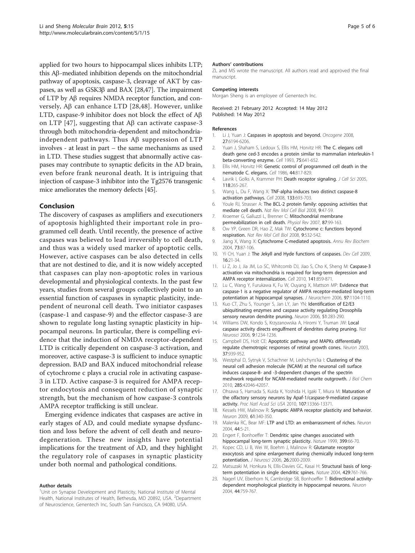<span id="page-4-0"></span>applied for two hours to hippocampal slices inhibits LTP; this Ab-mediated inhibition depends on the mitochondrial pathway of apoptosis, caspase-3, cleavage of AKT by caspases, as well as GSK3 $\beta$  and BAX [\[28,47](#page-5-0)]. The impairment of LTP by Aβ requires NMDA receptor function, and conversely,  $\text{AB}$  can enhance LTD [\[28,48](#page-5-0)]. However, unlike LTD, caspase-9 inhibitor does not block the effect of  $A\beta$ on LTP [[47](#page-5-0)], suggesting that  $\overrightarrow{AB}$  can activate caspase-3 through both mitochondria-dependent and mitochondriaindependent pathways. Thus  $\mathsf{A}\beta$  suppression of LTP involves - at least in part – the same mechanisms as used in LTD. These studies suggest that abnormally active caspases may contribute to synaptic deficits in the AD brain, even before frank neuronal death. It is intriguing that injection of caspase-3 inhibitor into the Tg2576 transgenic mice ameliorates the memory defects [[45](#page-5-0)].

# Conclusion

The discovery of caspases as amplifiers and executioners of apoptosis highlighted their important role in programmed cell death. Until recently, the presence of active caspases was believed to lead irreversibly to cell death, and thus was a widely used marker of apoptotic cells. However, active caspases can be also detected in cells that are not destined to die, and it is now widely accepted that caspases can play non-apoptotic roles in various developmental and physiological contexts. In the past few years, studies from several groups collectively point to an essential function of caspases in synaptic plasticity, independent of neuronal cell death. Two initiator caspases (caspase-1 and caspase-9) and the effector caspase-3 are shown to regulate long lasting synaptic plasticity in hippocampal neurons. In particular, there is compelling evidence that the induction of NMDA receptor-dependent LTD is critically dependent on caspase-3 activation, and moreover, active caspase-3 is sufficient to induce synaptic depression. BAD and BAX induced mitochondrial release of cytochrome c plays a crucial role in activating caspase-3 in LTD. Active caspase-3 is required for AMPA receptor endocytosis and consequent reduction of synaptic strength, but the mechanism of how caspase-3 controls AMPA receptor trafficking is still unclear.

Emerging evidence indicates that caspases are active in early stages of AD, and could mediate synapse dysfunction and loss before the advent of cell death and neurodegeneration. These new insights have potential implications for the treatment of AD, and they highlight the regulatory role of caspases in synaptic plasticity under both normal and pathological conditions.

#### Author details

#### Authors' contributions

ZL and MS wrote the manuscript. All authors read and approved the final manuscript.

#### Competing interests

Morgan Sheng is an employee of Genentech Inc.

Received: 21 February 2012 Accepted: 14 May 2012 Published: 14 May 2012

## References

- 1. Li J, Yuan J: Caspases in apoptosis and beyond. Oncogene 2008, 27:6194-6206.
- 2. Yuan J, Shaham S, Ledoux S, Ellis HM, Horvitz HR: The C. elegans cell death gene ced-3 encodes a protein similar to mammalian interleukin-1 beta-converting enzyme. Cell 1993, 75:641-652.
- 3. Ellis HM, Horvitz HR: Genetic control of programmed cell death in the nematode C. elegans. Cell 1986, 44:817-829.
- 4. Lavrik I, Golks A, Krammer PH: Death receptor signaling. J Cell Sci 2005, 118:265-267.
- 5. Wang L, Du F, Wang X: TNF-alpha induces two distinct caspase-8 activation pathways. Cell 2008, 133:693-703.
- 6. Youle RJ, Strasser A: The BCL-2 protein family: opposing activities that mediate cell death. Nat Rev Mol Cell Biol 2008, 9:47-59.
- 7. Kroemer G, Galluzzi L, Brenner C: Mitochondrial membrane permeabilization in cell death. Physiol Rev 2007, 87:99-163.
- 8. Ow YP, Green DR, Hao Z, Mak TW: Cytochrome c: functions beyond respiration. Nat Rev Mol Cell Biol 2008, 9:532-542.
- 9. Jiang X, Wang X: Cytochrome C-mediated apoptosis. Annu Rev Biochem 2004, 73:87-106.
- 10. Yi CH, Yuan J: The Jekyll and Hyde functions of caspases. Dev Cell 2009, 16:21-34.
- 11. Li Z, Jo J, Jia JM, Lo SC, Whitcomb DJ, Jiao S, Cho K, Sheng M: Caspase-3 activation via mitochondria is required for long-term depression and AMPA receptor internalization. Cell 2010, 141:859-871.
- 12. Lu C, Wang Y, Furukawa K, Fu W, Ouyang X, Mattson MP: Evidence that caspase-1 is a negative regulator of AMPA receptor-mediated long-term potentiation at hippocampal synapses. J Neurochem 2006, 97:1104-1110.
- 13. Kuo CT, Zhu S, Younger S, Jan LY, Jan YN: Identification of E2/E3 ubiquitinating enzymes and caspase activity regulating Drosophila sensory neuron dendrite pruning. Neuron 2006, 51:283-290.
- 14. Williams DW, Kondo S, Krzyzanowska A, Hiromi Y, Truman JW: Local caspase activity directs engulfment of dendrites during pruning. Nat Neurosci 2006, 9:1234-1236.
- 15. Campbell DS, Holt CE: Apoptotic pathway and MAPKs differentially regulate chemotropic responses of retinal growth cones. Neuron 2003, 37:939-952.
- 16. Westphal D, Sytnyk V, Schachner M, Leshchyns'ka I: Clustering of the neural cell adhesion molecule (NCAM) at the neuronal cell surface induces caspase-8- and -3-dependent changes of the spectrin meshwork required for NCAM-mediated neurite outgrowth. J Biol Chem 2010, 285:42046-42057.
- 17. Ohsawa S, Hamada S, Kuida K, Yoshida H, Igaki T, Miura M: Maturation of the olfactory sensory neurons by Apaf-1/caspase-9-mediated caspase activity. Proc Natl Acad Sci USA 2010, 107:13366-13371.
- 18. Kessels HW, Malinow R: Synaptic AMPA receptor plasticity and behavior. Neuron 2009, 61:340-350.
- 19. Malenka RC, Bear MF: LTP and LTD: an embarrassment of riches. Neuron 2004, 44:5-21.
- 20. Engert F, Bonhoeffer T: Dendritic spine changes associated with hippocampal long-term synaptic plasticity. Nature 1999, 399:66-70.
- 21. Kopec CD, Li B, Wei W, Boehm J, Malinow R: Glutamate receptor exocytosis and spine enlargement during chemically induced long-term potentiation. J Neurosci 2006, 26:2000-2009.
- 22. Matsuzaki M, Honkura N, Ellis-Davies GC, Kasai H: Structural basis of longterm potentiation in single dendritic spines. Nature 2004, 429:761-766.
- 23. Nagerl UV, Eberhorn N, Cambridge SB, Bonhoeffer T: Bidirectional activitydependent morphological plasticity in hippocampal neurons. Neuron 2004, 44:759-767.

<sup>&</sup>lt;sup>1</sup>Unit on Synapse Development and Plasticity, National Institute of Mental Health, National Institutes of Health, Bethesda, MD 20892, USA. <sup>2</sup>Department of Neuroscience, Genentech Inc, South San Francisco, CA 94080, USA.